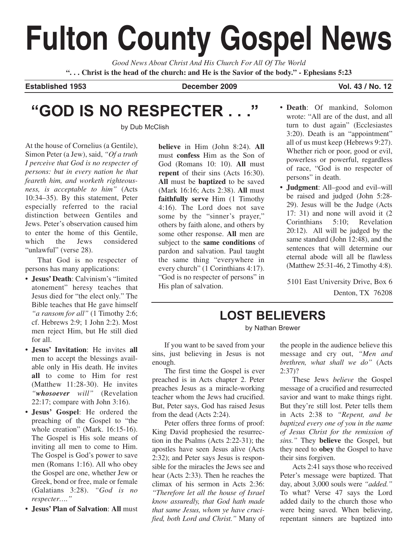# **Fulton County Gospel News**

*Good News About Christ And His Church For All Of The World* **". . . Christ is the head of the church: and He is the Savior of the body." - Ephesians 5:23**

**Established 1953 December 2009 Vol. 43 / No. 12**

## **"GOD IS NO RESPECTER . . ."**

by Dub McClish

At the house of Cornelius (a Gentile), Simon Peter (a Jew), said, *"Of a truth I perceive that God is no respecter of persons: but in every nation he that feareth him, and worketh righteousness, is acceptable to him"* (Acts 10:34–35). By this statement, Peter especially referred to the racial distinction between Gentiles and Jews. Peter's observation caused him to enter the home of this Gentile, which the Jews considered "unlawful" (verse 28).

That God is no respecter of persons has many applications:

- **Jesus' Death**: Calvinism's "limited atonement" heresy teaches that Jesus died for "the elect only." The Bible teaches that He gave himself *"a ransom for all"* (1 Timothy 2:6; cf. Hebrews 2:9; 1 John 2:2). Most men reject Him, but He still died for all.
- **• Jesus' Invitation**: He invites **all** men to accept the blessings available only in His death. He invites **all** to come to Him for rest (Matthew 11:28-30). He invites *"whosoever will"* (Revelation 22:17; compare with John 3:16).
- **Jesus' Gospel**: He ordered the preaching of the Gospel to "the whole creation" (Mark. 16:15-16). The Gospel is His sole means of inviting all men to come to Him. The Gospel is God's power to save men (Romans 1:16). All who obey the Gospel are one, whether Jew or Greek, bond or free, male or female (Galatians 3:28). *"God is no respecter…."*
- **Jesus' Plan of Salvation**: **All** must

**believe** in Him (John 8:24). **All** must **confess** Him as the Son of God (Romans 10: 10). **All** must **repent** of their sins (Acts 16:30). **All** must be **baptized** to be saved (Mark 16:16; Acts 2:38). **All** must **faithfully serve** Him (1 Timothy 4:16). The Lord does not save some by the "sinner's prayer," others by faith alone, and others by some other response. **All** men are subject to the **same conditions** of pardon and salvation. Paul taught the same thing "everywhere in every church" (1 Corinthians 4:17). "God is no respecter of persons" in His plan of salvation.

- **Death**: Of mankind, Solomon wrote: "All are of the dust, and all turn to dust again" (Ecclesiastes 3:20). Death is an "appointment" all of us must keep (Hebrews 9:27). Whether rich or poor, good or evil, powerless or powerful, regardless of race, "God is no respecter of persons" in death.
- **Judgment**: All–good and evil–will be raised and judged (John 5:28- 29). Jesus will be the Judge (Acts 17: 31) and none will avoid it (2 Corinthians 5:10; Revelation 20:12). All will be judged by the same standard (John 12:48), and the sentences that will determine our eternal abode will all be flawless (Matthew 25:31-46, 2 Timothy 4:8).

5101 East University Drive, Box 6 Denton, TX 76208

## **LOST BELIEVERS**

by Nathan Brewer

If you want to be saved from your sins, just believing in Jesus is not enough.

The first time the Gospel is ever preached is in Acts chapter 2. Peter preaches Jesus as a miracle-working teacher whom the Jews had crucified. But, Peter says, God has raised Jesus from the dead (Acts 2:24).

Peter offers three forms of proof: King David prophesied the resurrection in the Psalms (Acts 2:22-31); the apostles have seen Jesus alive (Acts 2:32); and Peter says Jesus is responsible for the miracles the Jews see and hear (Acts 2:33). Then he reaches the climax of his sermon in Acts 2:36: *"Therefore let all the house of Israel know assuredly, that God hath made that same Jesus, whom ye have crucified, both Lord and Christ."* Many of the people in the audience believe this message and cry out, *"Men and brethren, what shall we do"* (Acts 2:37)?

These Jews *believe* the Gospel message of a crucified and resurrected savior and want to make things right. But they're still lost. Peter tells them in Acts 2:38 to *"Repent, and be baptized every one of you in the name of Jesus Christ for the remission of sins."* They **believe** the Gospel, but they need to **obey** the Gospel to have their sins forgiven.

Acts 2:41 says those who received Peter's message were baptized. That day, about 3,000 souls were *"added."* To what? Verse 47 says the Lord added daily to the church those who were being saved. When believing, repentant sinners are baptized into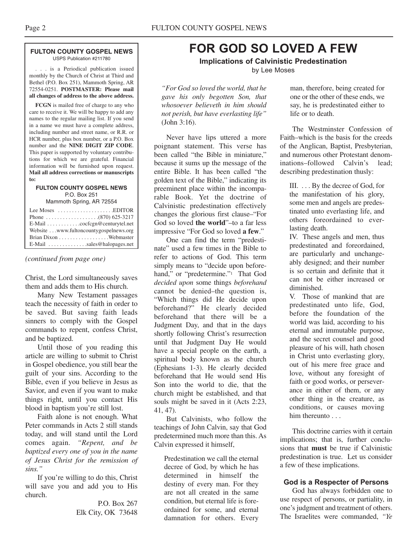#### **FULTON COUNTY GOSPEL NEWS** USPS Publication #211780

. . . is a Periodical publication issued monthly by the Church of Christ at Third and Bethel (P.O. Box 251), Mammoth Spring, AR 72554-0251. **POSTMASTER: Please mail all changes of address to the above address.**

**FCGN** is mailed free of charge to any who care to receive it. We will be happy to add any names to the regular mailing list. If you send in a name we must have a complete address, including number and street name, or R.R. or HCR number, plus box number, or a P.O. Box number and the **NINE DIGIT ZIP CODE**. This paper is supported by voluntary contributions for which we are grateful. Financial information will be furnished upon request. **Mail all address corrections or manuscripts to:**

#### **FULTON COUNTY GOSPEL NEWS** P.O. Box 251

Mammoth Spring, AR 72554

| Lee Moses $\dots \dots \dots \dots \dots$ . EDITOR              |  |
|-----------------------------------------------------------------|--|
|                                                                 |  |
|                                                                 |  |
| Website www.fultoncountygospelnews.org                          |  |
|                                                                 |  |
| $E$ -Mail $\ldots$ , $\ldots$ , $\ldots$ , sales @halopages.net |  |

*(continued from page one)*

Christ, the Lord simultaneously saves them and adds them to His church.

Many New Testament passages teach the necessity of faith in order to be saved. But saving faith leads sinners to comply with the Gospel commands to repent, confess Christ, and be baptized.

Until those of you reading this article are willing to submit to Christ in Gospel obedience, you still bear the guilt of your sins. According to the Bible, even if you believe in Jesus as Savior, and even if you want to make things right, until you contact His blood in baptism you're still lost.

Faith alone is not enough. What Peter commands in Acts 2 still stands today, and will stand until the Lord comes again. *"Repent, and be baptized every one of you in the name of Jesus Christ for the remission of sins."*

If you're willing to do this, Christ will save you and add you to His church.

> P.O. Box 267 Elk City, OK 73648

## **FOR GOD SO LOVED A FEW**

**Implications of Calvinistic Predestination** by Lee Moses

*"For God so loved the world, that he gave his only begotten Son, that whosoever believeth in him should not perish, but have everlasting life"* (John 3:16).

Never have lips uttered a more poignant statement. This verse has been called "the Bible in miniature," because it sums up the message of the entire Bible. It has been called "the golden text of the Bible," indicating its preeminent place within the incomparable Book. Yet the doctrine of Calvinistic predestination effectively changes the glorious first clause–"For God so loved **the world**"–to a far less impressive "For God so loved **a few**."

One can find the term "predestinate" used a few times in the Bible to refer to actions of God. This term simply means to "decide upon beforehand," or "predetermine."<sup>1</sup> That God *decided upon* some things *beforehand* cannot be denied–the question is, "Which things did He decide upon beforehand?" He clearly decided beforehand that there will be a Judgment Day, and that in the days shortly following Christ's resurrection until that Judgment Day He would have a special people on the earth, a spiritual body known as the church (Ephesians 1-3). He clearly decided beforehand that He would send His Son into the world to die, that the church might be established, and that souls might be saved in it (Acts 2:23, 41, 47).

But Calvinists, who follow the teachings of John Calvin, say that God predetermined much more than this. As Calvin expressed it himself,

Predestination we call the eternal decree of God, by which he has determined in himself the destiny of every man. For they are not all created in the same condition, but eternal life is foreordained for some, and eternal damnation for others. Every

man, therefore, being created for one or the other of these ends, we say, he is predestinated either to life or to death.

The Westminster Confession of Faith–which is the basis for the creeds of the Anglican, Baptist, Presbyterian, and numerous other Protestant denominations–followed Calvin's lead; describing predestination thusly:

III. . . . By the decree of God, for the manifestation of his glory, some men and angels are predestinated unto everlasting life, and others foreordained to everlasting death.

IV. These angels and men, thus predestinated and foreordained, are particularly and unchangeably designed; and their number is so certain and definite that it can not be either increased or diminished.

V. Those of mankind that are predestinated unto life, God, before the foundation of the world was laid, according to his eternal and immutable purpose, and the secret counsel and good pleasure of his will, hath chosen in Christ unto everlasting glory, out of his mere free grace and love, without any foresight of faith or good works, or perseverance in either of them, or any other thing in the creature, as conditions, or causes moving him thereunto . . .

This doctrine carries with it certain implications; that is, further conclusions that **must** be true if Calvinistic predestination is true. Let us consider a few of these implications.

#### **God is a Respecter of Persons**

God has always forbidden one to use respect of persons, or partiality, in one's judgment and treatment of others. The Israelites were commanded, *"Ye*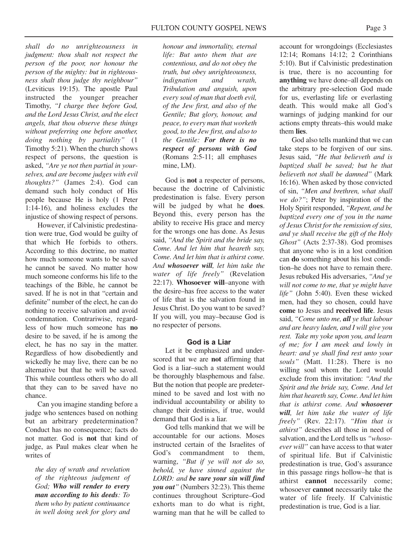*shall do no unrighteousness in judgment: thou shalt not respect the person of the poor, nor honour the person of the mighty: but in righteousness shalt thou judge thy neighbour"* (Leviticus 19:15). The apostle Paul instructed the younger preacher Timothy, *"I charge thee before God, and the Lord Jesus Christ, and the elect angels, that thou observe these things without preferring one before another, doing nothing by partiality"* (1 Timothy 5:21). When the church shows respect of persons, the question is asked, *"Are ye not then partial in yourselves, and are become judges with evil thoughts?"* (James 2:4). God can demand such holy conduct of His people because He is holy (1 Peter 1:14-16), and holiness excludes the injustice of showing respect of persons.

However, if Calvinistic predestination were true, God would be guilty of that which He forbids to others. According to this doctrine, no matter how much someone wants to be saved he cannot be saved. No matter how much someone conforms his life to the teachings of the Bible, he cannot be saved. If he is not in that "certain and definite" number of the elect, he can do nothing to receive salvation and avoid condemnation. Contrariwise, regardless of how much someone has **no** desire to be saved, if he is among the elect, he has no say in the matter. Regardless of how disobediently and wickedly he may live, there can be no alternative but that he will be saved. This while countless others who do all that they can to be saved have no chance.

Can you imagine standing before a judge who sentences based on nothing but an arbitrary predetermination? Conduct has no consequence; facts do not matter. God is **not** that kind of judge, as Paul makes clear when he writes of

*the day of wrath and revelation of the righteous judgment of God; Who will render to every man according to his deeds: To them who by patient continuance in well doing seek for glory and*

*honour and immortality, eternal life: But unto them that are contentious, and do not obey the truth, but obey unrighteousness, indignation and wrath, Tribulation and anguish, upon every soul of man that doeth evil, of the Jew first, and also of the Gentile; But glory, honour, and peace, to every man that worketh good, to the Jew first, and also to the Gentile: For there is no respect of persons with God* (Romans 2:5-11; all emphases mine, LM).

God is **not** a respecter of persons, because the doctrine of Calvinistic predestination is false. Every person will be judged by what he **does**. Beyond this, every person has the ability to receive His grace and mercy for the wrongs one has done. As Jesus said, *"And the Spirit and the bride say, Come. And let him that heareth say, Come. And let him that is athirst come. And whosoever will, let him take the water of life freely"* (Revelation 22:17). **Whosoever will**–anyone with the desire–has free access to the water of life that is the salvation found in Jesus Christ. Do you want to be saved? If you will, you may–because God is no respecter of persons.

#### **God is a Liar**

Let it be emphasized and underscored that we are **not** affirming that God is a liar–such a statement would be thoroughly blasphemous and false. But the notion that people are predetermined to be saved and lost with no individual accountability or ability to change their destinies, if true, would demand that God is a liar.

God tells mankind that we will be accountable for our actions. Moses instructed certain of the Israelites of God's commandment to them, warning, *"But if ye will not do so, behold, ye have sinned against the LORD: and be sure your sin will find you out"* (Numbers 32:23). This theme continues throughout Scripture–God exhorts man to do what is right, warning man that he will be called to

account for wrongdoings (Ecclesiastes 12:14; Romans 14:12; 2 Corinthians 5:10). But if Calvinistic predestination is true, there is no accounting for **anything** we have done–all depends on the arbitrary pre-selection God made for us, everlasting life or everlasting death. This would make all God's warnings of judging mankind for our actions empty threats–this would make them **lies**.

God also tells mankind that we can take steps to be forgiven of our sins. Jesus said, *"He that believeth and is baptized shall be saved; but he that believeth not shall be damned"* (Mark 16:16). When asked by those convicted of sin, *"Men and brethren, what shall we do?"*; Peter by inspiration of the Holy Spirit responded, *"Repent, and be baptized every one of you in the name of Jesus Christ for the remission of sins, and ye shall receive the gift of the Holy Ghost"* (Acts 2:37-38). God promises that anyone who is in a lost condition can **do** something about his lost condition–he does not have to remain there. Jesus rebuked His adversaries, *"And ye will not come to me, that ye might have life"* (John 5:40). Even these wicked men, had they so chosen, could have **come** to Jesus and **received life**. Jesus said, *"Come unto me, all ye that labour and are heavy laden, and I will give you rest. Take my yoke upon you, and learn of me; for I am meek and lowly in heart: and ye shall find rest unto your souls"* (Matt. 11:28). There is no willing soul whom the Lord would exclude from this invitation: *"And the Spirit and the bride say, Come. And let him that heareth say, Come. And let him that is athirst come. And whosoever will, let him take the water of life freely"* (Rev. 22:17). *"Him that is athirst"* describes all those in need of salvation, and the Lord tells us *"whosoever will"* can have access to that water of spiritual life. But if Calvinistic predestination is true, God's assurance in this passage rings hollow–he that is athirst **cannot** necessarily come; whosoever **cannot** necessarily take the water of life freely. If Calvinistic predestination is true, God is a liar.